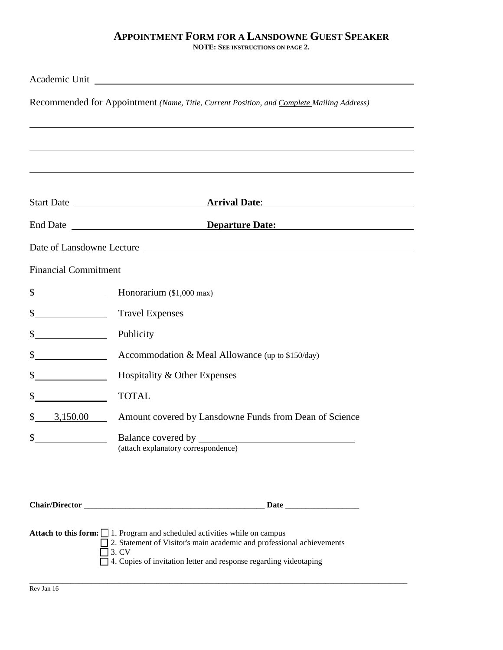## **APPOINTMENT FORM FOR A LANSDOWNE GUEST SPEAKER**

**NOTE: SEE INSTRUCTIONS ON PAGE 2.** 

|                             | Academic Unit Lawrence and Charles Contains a structure of the contact of the contact of the contact of the contact of the contact of the contact of the contact of the contact of the contact of the contact of the contact o |
|-----------------------------|--------------------------------------------------------------------------------------------------------------------------------------------------------------------------------------------------------------------------------|
|                             | Recommended for Appointment (Name, Title, Current Position, and Complete Mailing Address)                                                                                                                                      |
|                             |                                                                                                                                                                                                                                |
|                             |                                                                                                                                                                                                                                |
|                             |                                                                                                                                                                                                                                |
|                             |                                                                                                                                                                                                                                |
|                             |                                                                                                                                                                                                                                |
|                             |                                                                                                                                                                                                                                |
|                             |                                                                                                                                                                                                                                |
| <b>Financial Commitment</b> |                                                                                                                                                                                                                                |
| $\sim$                      | Honorarium (\$1,000 max)                                                                                                                                                                                                       |
| $\mathbb{S}^-$              | <b>Travel Expenses</b>                                                                                                                                                                                                         |
| \$                          | Publicity                                                                                                                                                                                                                      |
| $\int$                      | Accommodation & Meal Allowance (up to $$150/day$ )                                                                                                                                                                             |
| $\mathbb{S}^-$              | Hospitality & Other Expenses                                                                                                                                                                                                   |
| \$                          | <b>TOTAL</b>                                                                                                                                                                                                                   |
| 3,150.00<br>S               | Amount covered by Lansdowne Funds from Dean of Science                                                                                                                                                                         |
| \$                          | Balance covered by                                                                                                                                                                                                             |
|                             | (attach explanatory correspondence)                                                                                                                                                                                            |
|                             |                                                                                                                                                                                                                                |
|                             |                                                                                                                                                                                                                                |
|                             |                                                                                                                                                                                                                                |
|                             | <b>Attach to this form:</b> 1. Program and scheduled activities while on campus                                                                                                                                                |
|                             | 2. Statement of Visitor's main academic and professional achievements<br>3. CV                                                                                                                                                 |
|                             | 4. Copies of invitation letter and response regarding videotaping                                                                                                                                                              |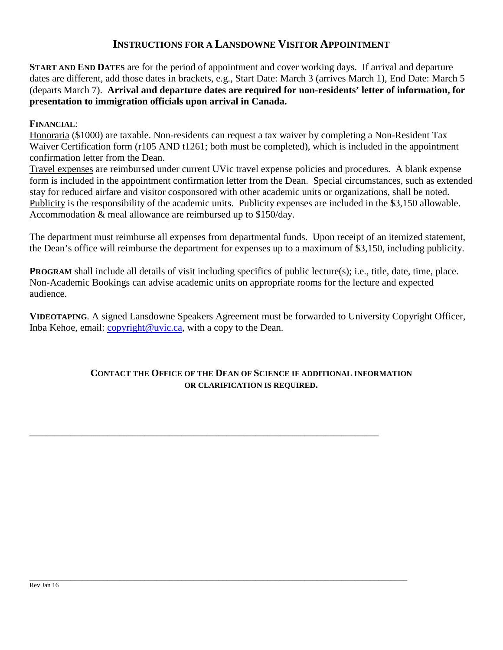## **INSTRUCTIONS FOR A LANSDOWNE VISITOR APPOINTMENT**

**START AND END DATES** are for the period of appointment and cover working days. If arrival and departure dates are different, add those dates in brackets, e.g., Start Date: March 3 (arrives March 1), End Date: March 5 (departs March 7). **Arrival and departure dates are required for non-residents' letter of information, for presentation to immigration officials upon arrival in Canada.** 

**FINANCIAL**:

Honoraria (\$1000) are taxable. Non-residents can request a tax waiver by completing a Non-Resident Tax Waiver Certification form (r105 AND t1261; both must be completed), which is included in the appointment confirmation letter from the Dean.

Travel expenses are reimbursed under current UVic travel expense policies and procedures. A blank expense form is included in the appointment confirmation letter from the Dean. Special circumstances, such as extended stay for reduced airfare and visitor cosponsored with other academic units or organizations, shall be noted. Publicity is the responsibility of the academic units. Publicity expenses are included in the \$3,150 allowable. Accommodation & meal allowance are reimbursed up to \$150/day.

The department must reimburse all expenses from departmental funds. Upon receipt of an itemized statement, the Dean's office will reimburse the department for expenses up to a maximum of \$3,150, including publicity.

**PROGRAM** shall include all details of visit including specifics of public lecture(s); i.e., title, date, time, place. Non-Academic Bookings can advise academic units on appropriate rooms for the lecture and expected audience.

**VIDEOTAPING**. A signed Lansdowne Speakers Agreement must be forwarded to University Copyright Officer, Inba Kehoe, email: *copyright@uvic.ca*, with a copy to the Dean.

## **CONTACT THE OFFICE OF THE DEAN OF SCIENCE IF ADDITIONAL INFORMATION OR CLARIFICATION IS REQUIRED.**

\_\_\_\_\_\_\_\_\_\_\_\_\_\_\_\_\_\_\_\_\_\_\_\_\_\_\_\_\_\_\_\_\_\_\_\_\_\_\_\_\_\_\_\_\_\_\_\_\_\_\_\_\_\_\_\_\_\_\_\_\_\_\_\_\_\_\_\_\_\_\_\_\_\_\_\_\_\_\_\_\_\_\_\_\_

\_\_\_\_\_\_\_\_\_\_\_\_\_\_\_\_\_\_\_\_\_\_\_\_\_\_\_\_\_\_\_\_\_\_\_\_\_\_\_\_\_\_\_\_\_\_\_\_\_\_\_\_\_\_\_\_\_\_\_\_\_\_\_\_\_\_\_\_\_\_\_\_\_\_\_\_\_\_\_\_\_\_\_\_\_\_\_\_\_\_\_\_